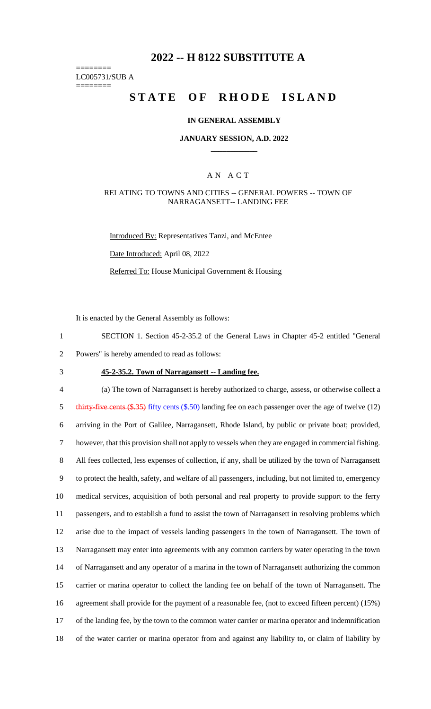# **2022 -- H 8122 SUBSTITUTE A**

======== LC005731/SUB A

========

# **STATE OF RHODE ISLAND**

#### **IN GENERAL ASSEMBLY**

#### **JANUARY SESSION, A.D. 2022 \_\_\_\_\_\_\_\_\_\_\_\_**

### A N A C T

#### RELATING TO TOWNS AND CITIES -- GENERAL POWERS -- TOWN OF NARRAGANSETT-- LANDING FEE

Introduced By: Representatives Tanzi, and McEntee

Date Introduced: April 08, 2022

Referred To: House Municipal Government & Housing

It is enacted by the General Assembly as follows:

1 SECTION 1. Section 45-2-35.2 of the General Laws in Chapter 45-2 entitled "General 2 Powers" is hereby amended to read as follows:

3 **45-2-35.2. Town of Narragansett -- Landing fee.**

 (a) The town of Narragansett is hereby authorized to charge, assess, or otherwise collect a 5 thirty-five cents (\$.35) fifty cents (\$.50) landing fee on each passenger over the age of twelve (12) arriving in the Port of Galilee, Narragansett, Rhode Island, by public or private boat; provided, however, that this provision shall not apply to vessels when they are engaged in commercial fishing. All fees collected, less expenses of collection, if any, shall be utilized by the town of Narragansett to protect the health, safety, and welfare of all passengers, including, but not limited to, emergency medical services, acquisition of both personal and real property to provide support to the ferry passengers, and to establish a fund to assist the town of Narragansett in resolving problems which arise due to the impact of vessels landing passengers in the town of Narragansett. The town of Narragansett may enter into agreements with any common carriers by water operating in the town of Narragansett and any operator of a marina in the town of Narragansett authorizing the common carrier or marina operator to collect the landing fee on behalf of the town of Narragansett. The agreement shall provide for the payment of a reasonable fee, (not to exceed fifteen percent) (15%) of the landing fee, by the town to the common water carrier or marina operator and indemnification of the water carrier or marina operator from and against any liability to, or claim of liability by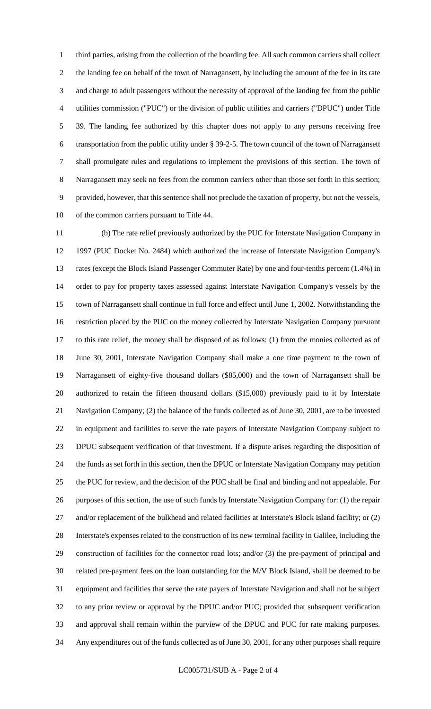third parties, arising from the collection of the boarding fee. All such common carriers shall collect the landing fee on behalf of the town of Narragansett, by including the amount of the fee in its rate and charge to adult passengers without the necessity of approval of the landing fee from the public utilities commission ("PUC") or the division of public utilities and carriers ("DPUC") under Title 39. The landing fee authorized by this chapter does not apply to any persons receiving free transportation from the public utility under § 39-2-5. The town council of the town of Narragansett shall promulgate rules and regulations to implement the provisions of this section. The town of Narragansett may seek no fees from the common carriers other than those set forth in this section; provided, however, that this sentence shall not preclude the taxation of property, but not the vessels, of the common carriers pursuant to Title 44.

 (b) The rate relief previously authorized by the PUC for Interstate Navigation Company in 1997 (PUC Docket No. 2484) which authorized the increase of Interstate Navigation Company's rates (except the Block Island Passenger Commuter Rate) by one and four-tenths percent (1.4%) in order to pay for property taxes assessed against Interstate Navigation Company's vessels by the town of Narragansett shall continue in full force and effect until June 1, 2002. Notwithstanding the restriction placed by the PUC on the money collected by Interstate Navigation Company pursuant to this rate relief, the money shall be disposed of as follows: (1) from the monies collected as of June 30, 2001, Interstate Navigation Company shall make a one time payment to the town of Narragansett of eighty-five thousand dollars (\$85,000) and the town of Narragansett shall be authorized to retain the fifteen thousand dollars (\$15,000) previously paid to it by Interstate Navigation Company; (2) the balance of the funds collected as of June 30, 2001, are to be invested in equipment and facilities to serve the rate payers of Interstate Navigation Company subject to DPUC subsequent verification of that investment. If a dispute arises regarding the disposition of the funds as set forth in this section, then the DPUC or Interstate Navigation Company may petition the PUC for review, and the decision of the PUC shall be final and binding and not appealable. For purposes of this section, the use of such funds by Interstate Navigation Company for: (1) the repair 27 and/or replacement of the bulkhead and related facilities at Interstate's Block Island facility; or (2) Interstate's expenses related to the construction of its new terminal facility in Galilee, including the construction of facilities for the connector road lots; and/or (3) the pre-payment of principal and related pre-payment fees on the loan outstanding for the M/V Block Island, shall be deemed to be equipment and facilities that serve the rate payers of Interstate Navigation and shall not be subject to any prior review or approval by the DPUC and/or PUC; provided that subsequent verification and approval shall remain within the purview of the DPUC and PUC for rate making purposes. Any expenditures out of the funds collected as of June 30, 2001, for any other purposes shall require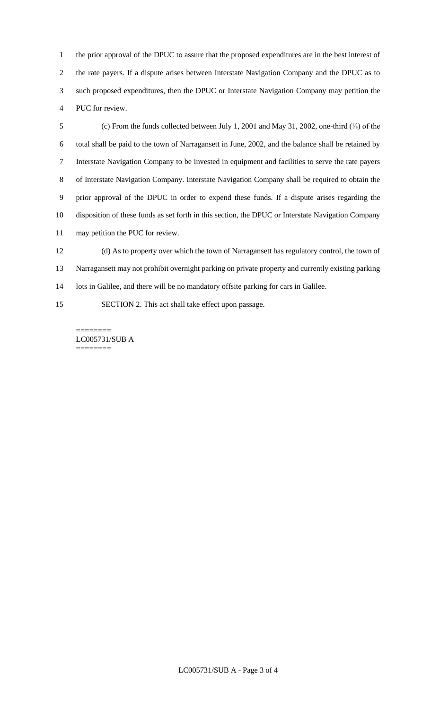the prior approval of the DPUC to assure that the proposed expenditures are in the best interest of the rate payers. If a dispute arises between Interstate Navigation Company and the DPUC as to such proposed expenditures, then the DPUC or Interstate Navigation Company may petition the PUC for review.

 (c) From the funds collected between July 1, 2001 and May 31, 2002, one-third (⅓) of the total shall be paid to the town of Narragansett in June, 2002, and the balance shall be retained by Interstate Navigation Company to be invested in equipment and facilities to serve the rate payers of Interstate Navigation Company. Interstate Navigation Company shall be required to obtain the prior approval of the DPUC in order to expend these funds. If a dispute arises regarding the disposition of these funds as set forth in this section, the DPUC or Interstate Navigation Company may petition the PUC for review.

 (d) As to property over which the town of Narragansett has regulatory control, the town of Narragansett may not prohibit overnight parking on private property and currently existing parking 14 lots in Galilee, and there will be no mandatory offsite parking for cars in Galilee.

SECTION 2. This act shall take effect upon passage.

======== LC005731/SUB A ========